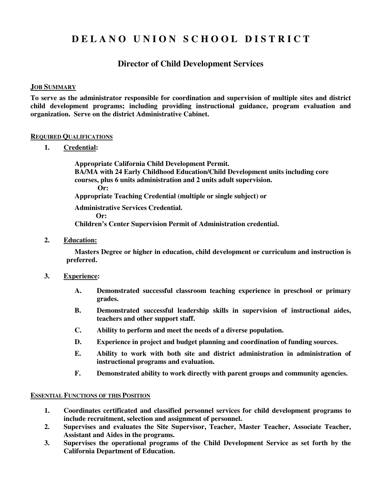# **DELANO UNION SCHOOL DISTRICT**

## **Director of Child Development Services**

### **JOB SUMMARY**

**To serve as the administrator responsible for coordination and supervision of multiple sites and district child development programs; including providing instructional guidance, program evaluation and organization. Serve on the district Administrative Cabinet.** 

#### **REQUIRED QUALIFICATIONS**

**1. Credential:** 

 **Appropriate California Child Development Permit. BA/MA with 24 Early Childhood Education/Child Development units including core courses, plus 6 units administration and 2 units adult supervision. Or: Appropriate Teaching Credential (multiple or single subject) or Administrative Services Credential. Or:** 

**Children's Center Supervision Permit of Administration credential.** 

**2. Education:** 

**Masters Degree or higher in education, child development or curriculum and instruction is preferred.** 

- **3. Experience:** 
	- **A. Demonstrated successful classroom teaching experience in preschool or primary grades.**
	- **B. Demonstrated successful leadership skills in supervision of instructional aides, teachers and other support staff.**
	- **C. Ability to perform and meet the needs of a diverse population.**
	- **D. Experience in project and budget planning and coordination of funding sources.**
	- **E. Ability to work with both site and district administration in administration of instructional programs and evaluation.**
	- **F. Demonstrated ability to work directly with parent groups and community agencies.**

#### **ESSENTIAL FUNCTIONS OF THIS POSITION**

- **1. Coordinates certificated and classified personnel services for child development programs to include recruitment, selection and assignment of personnel.**
- **2. Supervises and evaluates the Site Supervisor, Teacher, Master Teacher, Associate Teacher, Assistant and Aides in the programs.**
- **3. Supervises the operational programs of the Child Development Service as set forth by the California Department of Education.**